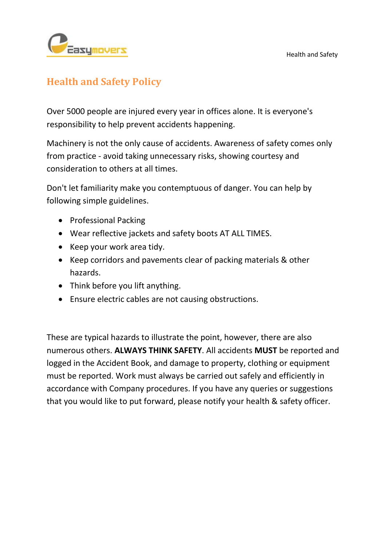

## **Health and Safety Policy**

Over 5000 people are injured every year in offices alone. It is everyone's responsibility to help prevent accidents happening.

Machinery is not the only cause of accidents. Awareness of safety comes only from practice - avoid taking unnecessary risks, showing courtesy and consideration to others at all times.

Don't let familiarity make you contemptuous of danger. You can help by following simple guidelines.

- Professional Packing
- Wear reflective jackets and safety boots AT ALL TIMES.
- Keep your work area tidy.
- Keep corridors and pavements clear of packing materials & other hazards.
- Think before you lift anything.
- Ensure electric cables are not causing obstructions.

These are typical hazards to illustrate the point, however, there are also numerous others. **ALWAYS THINK SAFETY**. All accidents **MUST** be reported and logged in the Accident Book, and damage to property, clothing or equipment must be reported. Work must always be carried out safely and efficiently in accordance with Company procedures. If you have any queries or suggestions that you would like to put forward, please notify your health & safety officer.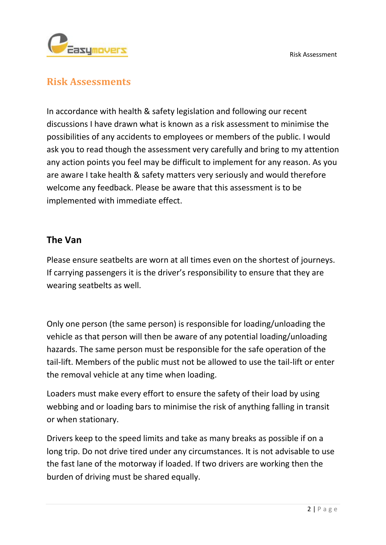

## **Risk Assessments**

In accordance with health & safety legislation and following our recent discussions I have drawn what is known as a risk assessment to minimise the possibilities of any accidents to employees or members of the public. I would ask you to read though the assessment very carefully and bring to my attention any action points you feel may be difficult to implement for any reason. As you are aware I take health & safety matters very seriously and would therefore welcome any feedback. Please be aware that this assessment is to be implemented with immediate effect.

## **The Van**

Please ensure seatbelts are worn at all times even on the shortest of journeys. If carrying passengers it is the driver's responsibility to ensure that they are wearing seatbelts as well.

Only one person (the same person) is responsible for loading/unloading the vehicle as that person will then be aware of any potential loading/unloading hazards. The same person must be responsible for the safe operation of the tail-lift. Members of the public must not be allowed to use the tail-lift or enter the removal vehicle at any time when loading.

Loaders must make every effort to ensure the safety of their load by using webbing and or loading bars to minimise the risk of anything falling in transit or when stationary.

Drivers keep to the speed limits and take as many breaks as possible if on a long trip. Do not drive tired under any circumstances. It is not advisable to use the fast lane of the motorway if loaded. If two drivers are working then the burden of driving must be shared equally.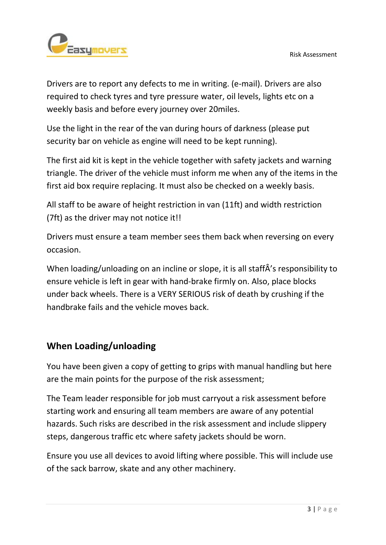

Drivers are to report any defects to me in writing. (e-mail). Drivers are also required to check tyres and tyre pressure water, oil levels, lights etc on a weekly basis and before every journey over 20miles.

Use the light in the rear of the van during hours of darkness (please put security bar on vehicle as engine will need to be kept running).

The first aid kit is kept in the vehicle together with safety jackets and warning triangle. The driver of the vehicle must inform me when any of the items in the first aid box require replacing. It must also be checked on a weekly basis.

All staff to be aware of height restriction in van (11ft) and width restriction (7ft) as the driver may not notice it!!

Drivers must ensure a team member sees them back when reversing on every occasion.

When loading/unloading on an incline or slope, it is all staffÂ's responsibility to ensure vehicle is left in gear with hand-brake firmly on. Also, place blocks under back wheels. There is a VERY SERIOUS risk of death by crushing if the handbrake fails and the vehicle moves back.

## **When Loading/unloading**

You have been given a copy of getting to grips with manual handling but here are the main points for the purpose of the risk assessment;

The Team leader responsible for job must carryout a risk assessment before starting work and ensuring all team members are aware of any potential hazards. Such risks are described in the risk assessment and include slippery steps, dangerous traffic etc where safety jackets should be worn.

Ensure you use all devices to avoid lifting where possible. This will include use of the sack barrow, skate and any other machinery.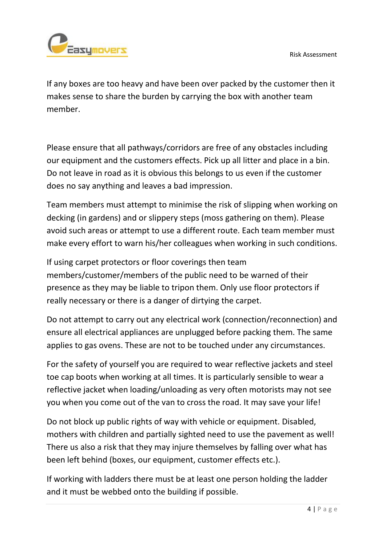

If any boxes are too heavy and have been over packed by the customer then it makes sense to share the burden by carrying the box with another team member.

Please ensure that all pathways/corridors are free of any obstacles including our equipment and the customers effects. Pick up all litter and place in a bin. Do not leave in road as it is obvious this belongs to us even if the customer does no say anything and leaves a bad impression.

Team members must attempt to minimise the risk of slipping when working on decking (in gardens) and or slippery steps (moss gathering on them). Please avoid such areas or attempt to use a different route. Each team member must make every effort to warn his/her colleagues when working in such conditions.

If using carpet protectors or floor coverings then team members/customer/members of the public need to be warned of their presence as they may be liable to tripon them. Only use floor protectors if really necessary or there is a danger of dirtying the carpet.

Do not attempt to carry out any electrical work (connection/reconnection) and ensure all electrical appliances are unplugged before packing them. The same applies to gas ovens. These are not to be touched under any circumstances.

For the safety of yourself you are required to wear reflective jackets and steel toe cap boots when working at all times. It is particularly sensible to wear a reflective jacket when loading/unloading as very often motorists may not see you when you come out of the van to cross the road. It may save your life!

Do not block up public rights of way with vehicle or equipment. Disabled, mothers with children and partially sighted need to use the pavement as well! There us also a risk that they may injure themselves by falling over what has been left behind (boxes, our equipment, customer effects etc.).

If working with ladders there must be at least one person holding the ladder and it must be webbed onto the building if possible.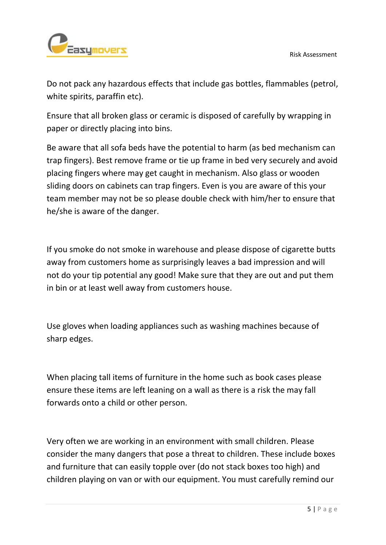

Do not pack any hazardous effects that include gas bottles, flammables (petrol, white spirits, paraffin etc).

Ensure that all broken glass or ceramic is disposed of carefully by wrapping in paper or directly placing into bins.

Be aware that all sofa beds have the potential to harm (as bed mechanism can trap fingers). Best remove frame or tie up frame in bed very securely and avoid placing fingers where may get caught in mechanism. Also glass or wooden sliding doors on cabinets can trap fingers. Even is you are aware of this your team member may not be so please double check with him/her to ensure that he/she is aware of the danger.

If you smoke do not smoke in warehouse and please dispose of cigarette butts away from customers home as surprisingly leaves a bad impression and will not do your tip potential any good! Make sure that they are out and put them in bin or at least well away from customers house.

Use gloves when loading appliances such as washing machines because of sharp edges.

When placing tall items of furniture in the home such as book cases please ensure these items are left leaning on a wall as there is a risk the may fall forwards onto a child or other person.

Very often we are working in an environment with small children. Please consider the many dangers that pose a threat to children. These include boxes and furniture that can easily topple over (do not stack boxes too high) and children playing on van or with our equipment. You must carefully remind our